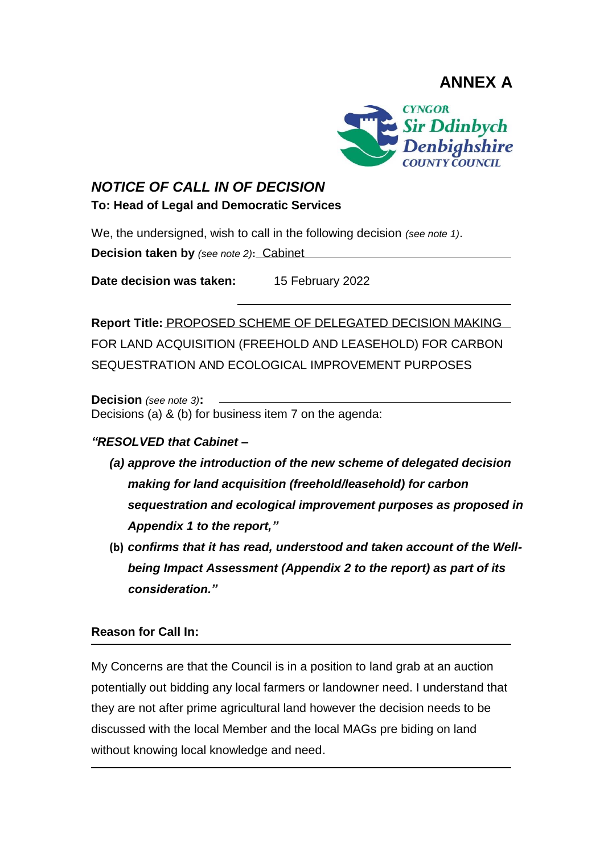**ANNEX A**



## *NOTICE OF CALL IN OF DECISION*

**To: Head of Legal and Democratic Services**

We, the undersigned, wish to call in the following decision *(see note 1)*.

**Decision taken by** *(see note 2)***:** Cabinet

**Date decision was taken:** 15 February 2022

**Report Title:** PROPOSED SCHEME OF DELEGATED DECISION MAKING FOR LAND ACQUISITION (FREEHOLD AND LEASEHOLD) FOR CARBON SEQUESTRATION AND ECOLOGICAL IMPROVEMENT PURPOSES

**Decision** *(see note 3)***:**  Decisions (a) & (b) for business item 7 on the agenda:

## *"RESOLVED that Cabinet –*

- *(a) approve the introduction of the new scheme of delegated decision making for land acquisition (freehold/leasehold) for carbon sequestration and ecological improvement purposes as proposed in Appendix 1 to the report,"*
- **(b)** *confirms that it has read, understood and taken account of the Wellbeing Impact Assessment (Appendix 2 to the report) as part of its consideration."*

## **Reason for Call In:**

My Concerns are that the Council is in a position to land grab at an auction potentially out bidding any local farmers or landowner need. I understand that they are not after prime agricultural land however the decision needs to be discussed with the local Member and the local MAGs pre biding on land without knowing local knowledge and need.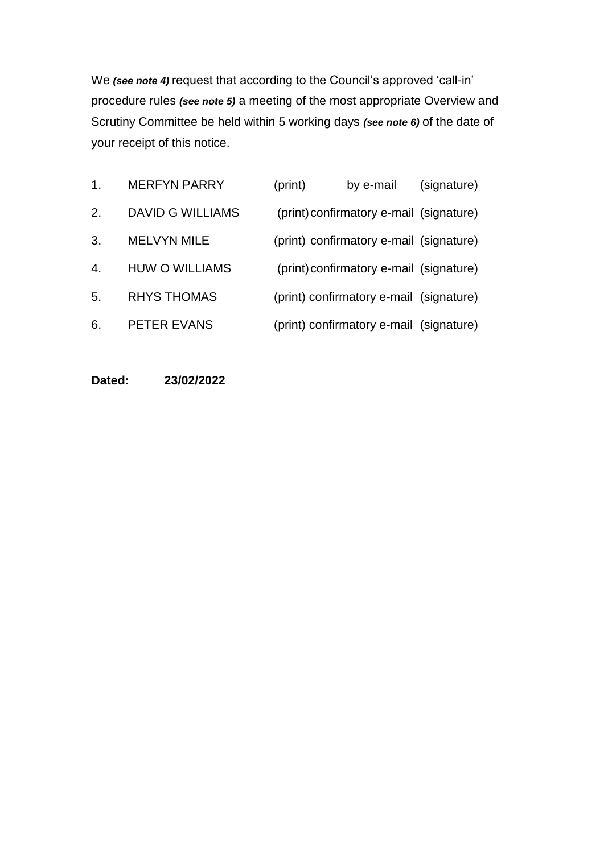We *(see note 4)* request that according to the Council's approved 'call-in' procedure rules *(see note 5)* a meeting of the most appropriate Overview and Scrutiny Committee be held within 5 working days *(see note 6)* of the date of your receipt of this notice.

| 1. | <b>MERFYN PARRY</b>     | (print) | by e-mail                               | (signature) |
|----|-------------------------|---------|-----------------------------------------|-------------|
| 2. | <b>DAVID G WILLIAMS</b> |         | (print) confirmatory e-mail (signature) |             |
| 3. | <b>MELVYN MILE</b>      |         | (print) confirmatory e-mail (signature) |             |
| 4. | <b>HUW O WILLIAMS</b>   |         | (print) confirmatory e-mail (signature) |             |
| 5. | <b>RHYS THOMAS</b>      |         | (print) confirmatory e-mail (signature) |             |
| 6. | PETER EVANS             |         | (print) confirmatory e-mail (signature) |             |

**Dated: 23/02/2022**